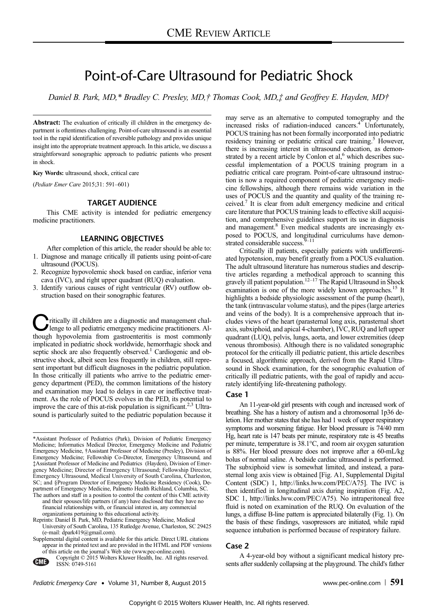# Point-of-Care Ultrasound for Pediatric Shock

Daniel B. Park, MD,\* Bradley C. Presley, MD,† Thomas Cook, MD,‡ and Geoffrey E. Hayden, MD†

Abstract: The evaluation of critically ill children in the emergency department is oftentimes challenging. Point-of-care ultrasound is an essential tool in the rapid identification of reversible pathology and provides unique insight into the appropriate treatment approach. In this article, we discuss a straightforward sonographic approach to pediatric patients who present in shock.

Key Words: ultrasound, shock, critical care

(Pediatr Emer Care 2015;31: 591–601)

# TARGET AUDIENCE

This CME activity is intended for pediatric emergency medicine practitioners.

# LEARNING OBJECTIVES

After completion of this article, the reader should be able to: 1. Diagnose and manage critically ill patients using point-of-care ultrasound (POCUS).

- 2. Recognize hypovolemic shock based on cardiac, inferior vena cava (IVC), and right upper quadrant (RUQ) evaluation.
- 3. Identify various causes of right ventricular (RV) outflow obstruction based on their sonographic features.

Critically ill children are a diagnostic and management chal-<br>lenge to all pediatric emergency medicine practitioners. Although hypovolemia from gastroenteritis is most commonly implicated in pediatric shock worldwide, hemorrhagic shock and septic shock are also frequently observed.<sup>1</sup> Cardiogenic and obstructive shock, albeit seen less frequently in children, still represent important but difficult diagnoses in the pediatric population. In those critically ill patients who arrive to the pediatric emergency department (PED), the common limitations of the history and examination may lead to delays in care or ineffective treatment. As the role of POCUS evolves in the PED, its potential to improve the care of this at-risk population is significant.<sup>2,3</sup> Ultrasound is particularly suited to the pediatric population because it may serve as an alternative to computed tomography and the increased risks of radiation-induced cancers.<sup>4</sup> Unfortunately, POCUS training has not been formally incorporated into pediatric residency training or pediatric critical care training.<sup>5</sup> However, there is increasing interest in ultrasound education, as demonstrated by a recent article by Conlon et al,<sup>6</sup> which describes successful implementation of a POCUS training program in a pediatric critical care program. Point-of-care ultrasound instruction is now a required component of pediatric emergency medicine fellowships, although there remains wide variation in the uses of POCUS and the quantity and quality of the training received.7 It is clear from adult emergency medicine and critical care literature that POCUS training leads to effective skill acquisition, and comprehensive guidelines support its use in diagnosis and management.<sup>8</sup> Even medical students are increasingly exposed to POCUS, and longitudinal curriculums have demonstrated considerable success.<sup>9–11</sup>

Critically ill patients, especially patients with undifferentiated hypotension, may benefit greatly from a POCUS evaluation. The adult ultrasound literature has numerous studies and descriptive articles regarding a methodical approach to scanning this gravely ill patient population.<sup>12–17</sup> The Rapid Ultrasound in Shock examination is one of the more widely known approaches.<sup>15</sup> It highlights a bedside physiologic assessment of the pump (heart), the tank (intravascular volume status), and the pipes (large arteries and veins of the body). It is a comprehensive approach that includes views of the heart (parasternal long axis, parasternal short axis, subxiphoid, and apical 4-chamber), IVC, RUQ and left upper quadrant (LUQ), pelvis, lungs, aorta, and lower extremities (deep venous thrombosis). Although there is no validated sonographic protocol for the critically ill pediatric patient, this article describes a focused, algorithmic approach, derived from the Rapid Ultrasound in Shock examination, for the sonographic evaluation of critically ill pediatric patients, with the goal of rapidly and accurately identifying life-threatening pathology.

# Case 1

An 11-year-old girl presents with cough and increased work of breathing. She has a history of autism and a chromosomal 1p36 deletion. Her mother states that she has had 1 week of upper respiratory symptoms and worsening fatigue. Her blood pressure is 74/40 mm Hg, heart rate is 147 beats per minute, respiratory rate is 45 breaths per minute, temperature is 38.1°C, and room air oxygen saturation is 88%. Her blood pressure does not improve after a 60-mL/kg bolus of normal saline. A bedside cardiac ultrasound is performed. The subxiphoid view is somewhat limited, and instead, a parasternal long axis view is obtained [Fig. A1, Supplemental Digital Content (SDC) 1, http://links.lww.com/PEC/A75]. The IVC is then identified in longitudinal axis during inspiration (Fig. A2, SDC 1, http://links.lww.com/PEC/A75). No intraperitoneal free fluid is noted on examination of the RUQ. On evaluation of the lungs, a diffuse B-line pattern is appreciated bilaterally (Fig. 1). On the basis of these findings, vasopressors are initiated, while rapid sequence intubation is performed because of respiratory failure.

# Case 2

A 4-year-old boy without a significant medical history presents after suddenly collapsing at the playground. The child's father

<sup>\*</sup>Assistant Professor of Pediatrics (Park), Division of Pediatric Emergency Medicine; Informatics Medical Director, Emergency Medicine and Pediatric Emergency Medicine, †Assistant Professor of Medicine (Presley), Division of Emergency Medicine; Fellowship Co-Director, Emergency Ultrasound, and ‡Assistant Professor of Medicine and Pediatrics (Hayden), Division of Emergency Medicine; Director of Emergency Ultrasound; Fellowship Director, Emergency Ultrasound, Medical University of South Carolina, Charleston, SC; and §Program Director of Emergency Medicine Residency (Cook), Department of Emergency Medicine, Palmetto Health Richland, Columbia, SC. The authors and staff in a position to control the content of this CME activity

and their spouses/life partners (if any) have disclosed that they have no financial relationships with, or financial interest in, any commercial organizations pertaining to this educational activity.

Reprints: Daniel B. Park, MD, Pediatric Emergency Medicine, Medical University of South Carolina, 135 Rutledge Avenue, Charleston, SC 29425 (e‐mail: dpark419@gmail.com).

Supplemental digital content is available for this article. Direct URL citations appear in the printed text and are provided in the HTML and PDF versions of this article on the journal's Web site (www.pec-online.com).

Copyright © 2015 Wolters Kluwer Health, Inc. All rights reserved. ISSN: 0749-5161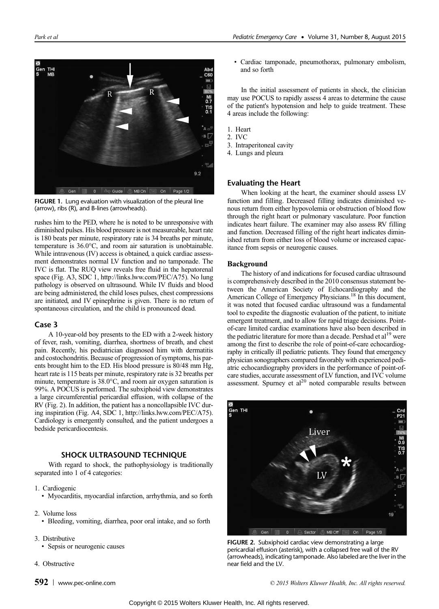

FIGURE 1. Lung evaluation with visualization of the pleural line (arrow), ribs (R), and B-lines (arrowheads).

rushes him to the PED, where he is noted to be unresponsive with diminished pulses. His blood pressure is not measureable, heart rate is 180 beats per minute, respiratory rate is 34 breaths per minute, temperature is 36.0°C, and room air saturation is unobtainable. While intravenous (IV) access is obtained, a quick cardiac assessment demonstrates normal LV function and no tamponade. The IVC is flat. The RUQ view reveals free fluid in the hepatorenal space (Fig. A3, SDC 1, http://links.lww.com/PEC/A75). No lung pathology is observed on ultrasound. While IV fluids and blood are being administered, the child loses pulses, chest compressions are initiated, and IV epinephrine is given. There is no return of spontaneous circulation, and the child is pronounced dead.

# Case 3

A 10-year-old boy presents to the ED with a 2-week history of fever, rash, vomiting, diarrhea, shortness of breath, and chest pain. Recently, his pediatrician diagnosed him with dermatitis and costochondritis. Because of progression of symptoms, his parents brought him to the ED. His blood pressure is 80/48 mm Hg, heart rate is 115 beats per minute, respiratory rate is 32 breaths per minute, temperature is 38.0°C, and room air oxygen saturation is 99%. A POCUS is performed. The subxiphoid view demonstrates a large circumferential pericardial effusion, with collapse of the RV (Fig. 2). In addition, the patient has a noncollapsible IVC during inspiration (Fig. A4, SDC 1, http://links.lww.com/PEC/A75). Cardiology is emergently consulted, and the patient undergoes a bedside pericardiocentesis.

# SHOCK ULTRASOUND TECHNIQUE

With regard to shock, the pathophysiology is traditionally separated into 1 of 4 categories:

- 1. Cardiogenic
	- Myocarditis, myocardial infarction, arrhythmia, and so forth
- 2. Volume loss
	- Bleeding, vomiting, diarrhea, poor oral intake, and so forth
- 3. Distributive
	- Sepsis or neurogenic causes
- 4. Obstructive
- 592 [www.pec-online.com](http://www.pec-online.com) example and the community of the C 2015 Wolters Kluwer Health, Inc. All rights reserved.

• Cardiac tamponade, pneumothorax, pulmonary embolism, and so forth

In the initial assessment of patients in shock, the clinician may use POCUS to rapidly assess 4 areas to determine the cause of the patient's hypotension and help to guide treatment. These 4 areas include the following:

- 1. Heart
- 2. IVC
- 3. Intraperitoneal cavity
- 4. Lungs and pleura

# Evaluating the Heart

When looking at the heart, the examiner should assess LV function and filling. Decreased filling indicates diminished venous return from either hypovolemia or obstruction of blood flow through the right heart or pulmonary vasculature. Poor function indicates heart failure. The examiner may also assess RV filling and function. Decreased filling of the right heart indicates diminished return from either loss of blood volume or increased capacitance from sepsis or neurogenic causes.

# Background

The history of and indications for focused cardiac ultrasound is comprehensively described in the 2010 consensus statement between the American Society of Echocardiography and the American College of Emergency Physicians.<sup>18</sup> In this document, it was noted that focused cardiac ultrasound was a fundamental tool to expedite the diagnostic evaluation of the patient, to initiate emergent treatment, and to allow for rapid triage decisions. Pointof-care limited cardiac examinations have also been described in the pediatric literature for more than a decade. Pershad et al<sup>19</sup> were among the first to describe the role of point-of-care echocardiography in critically ill pediatric patients. They found that emergency physician sonographers compared favorably with experienced pediatric echocardiography providers in the performance of point-ofcare studies, accurate assessment of LV function, and IVC volume assessment. Spurney et  $al^{20}$  noted comparable results between



FIGURE 2. Subxiphoid cardiac view demonstrating a large pericardial effusion (asterisk), with a collapsed free wall of the RV (arrowheads), indicating tamponade. Also labeled are the liver in the near field and the LV.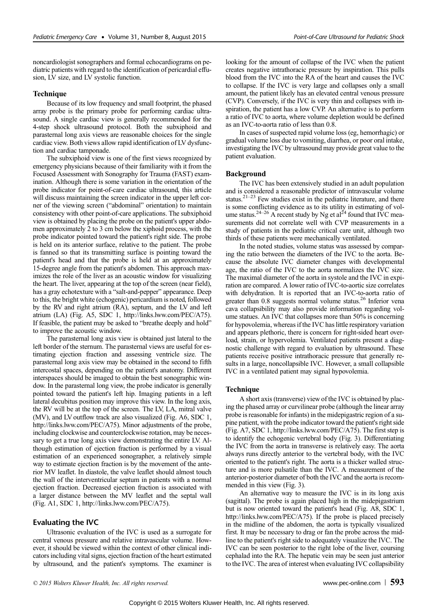noncardiologist sonographers and formal echocardiograms on pediatric patients with regard to the identification of pericardial effusion, LV size, and LV systolic function.

### Technique

Because of its low frequency and small footprint, the phased array probe is the primary probe for performing cardiac ultrasound. A single cardiac view is generally recommended for the 4-step shock ultrasound protocol. Both the subxiphoid and parasternal long axis views are reasonable choices for the single cardiac view. Both views allow rapid identification of LV dysfunction and cardiac tamponade.

The subxiphoid view is one of the first views recognized by emergency physicians because of their familiarity with it from the Focused Assessment with Sonography for Trauma (FAST) examination. Although there is some variation in the orientation of the probe indicator for point-of-care cardiac ultrasound, this article will discuss maintaining the screen indicator in the upper left corner of the viewing screen ("abdominal" orientation) to maintain consistency with other point-of-care applications. The subxiphoid view is obtained by placing the probe on the patient's upper abdomen approximately 2 to 3 cm below the xiphoid process, with the probe indicator pointed toward the patient's right side. The probe is held on its anterior surface, relative to the patient. The probe is fanned so that its transmitting surface is pointing toward the patient's head and that the probe is held at an approximately 15-degree angle from the patient's abdomen. This approach maximizes the role of the liver as an acoustic window for visualizing the heart. The liver, appearing at the top of the screen (near field), has a gray echotexture with a "salt-and-pepper" appearance. Deep to this, the bright white (echogenic) pericardium is noted, followed by the RV and right atrium (RA), septum, and the LV and left atrium (LA) (Fig. A5, SDC 1, http://links.lww.com/PEC/A75). If feasible, the patient may be asked to "breathe deeply and hold" to improve the acoustic window.

The parasternal long axis view is obtained just lateral to the left border of the sternum. The parasternal views are useful for estimating ejection fraction and assessing ventricle size. The parasternal long axis view may be obtained in the second to fifth intercostal spaces, depending on the patient's anatomy. Different interspaces should be imaged to obtain the best sonographic window. In the parasternal long view, the probe indicator is generally pointed toward the patient's left hip. Imaging patients in a left lateral decubitus position may improve this view. In the long axis, the RV will be at the top of the screen. The LV, LA, mitral valve (MV), and LV outflow track are also visualized (Fig. A6, SDC 1, http://links.lww.com/PEC/A75). Minor adjustments of the probe, including clockwise and counterclockwise rotation, may be necessary to get a true long axis view demonstrating the entire LV. Although estimation of ejection fraction is performed by a visual estimation of an experienced sonographer, a relatively simple way to estimate ejection fraction is by the movement of the anterior MV leaflet. In diastole, the valve leaflet should almost touch the wall of the interventricular septum in patients with a normal ejection fraction. Decreased ejection fraction is associated with a larger distance between the MV leaflet and the septal wall (Fig. A1, SDC 1, http://links.lww.com/PEC/A75).

# Evaluating the IVC

Ultrasonic evaluation of the IVC is used as a surrogate for central venous pressure and relative intravascular volume. However, it should be viewed within the context of other clinical indicators including vital signs, ejection fraction of the heart estimated by ultrasound, and the patient's symptoms. The examiner is looking for the amount of collapse of the IVC when the patient creates negative intrathoracic pressure by inspiration. This pulls blood from the IVC into the RA of the heart and causes the IVC to collapse. If the IVC is very large and collapses only a small amount, the patient likely has an elevated central venous pressure (CVP). Conversely, if the IVC is very thin and collapses with inspiration, the patient has a low CVP. An alternative is to perform a ratio of IVC to aorta, where volume depletion would be defined as an IVC-to-aorta ratio of less than 0.8.

In cases of suspected rapid volume loss (eg, hemorrhagic) or gradual volume loss due to vomiting, diarrhea, or poor oral intake, investigating the IVC by ultrasound may provide great value to the patient evaluation.

#### Background

The IVC has been extensively studied in an adult population and is considered a reasonable predictor of intravascular volume status.<sup>21–23</sup> Few studies exist in the pediatric literature, and there is some conflicting evidence as to its utility in estimating of vol-<br>ume status.<sup>24–26</sup> A recent study by Ng et al<sup>24</sup> found that IVC measurements did not correlate well with CVP measurements in a study of patients in the pediatric critical care unit, although two thirds of these patients were mechanically ventilated.

In the noted studies, volume status was assessed by comparing the ratio between the diameters of the IVC to the aorta. Because the absolute IVC diameter changes with developmental age, the ratio of the IVC to the aorta normalizes the IVC size. The maximal diameter of the aorta in systole and the IVC in expiration are compared. A lower ratio of IVC-to-aortic size correlates with dehydration. It is reported that an IVC-to-aorta ratio of greater than 0.8 suggests normal volume status.<sup>26</sup> Inferior vena cava collapsibility may also provide information regarding volume statues. An IVC that collapses more than 50% is concerning for hypovolemia, whereas if the IVC has little respiratory variation and appears plethoric, there is concern for right-sided heart overload, strain, or hypervolemia. Ventilated patients present a diagnostic challenge with regard to evaluation by ultrasound. These patients receive positive intrathoracic pressure that generally results in a large, noncollapsible IVC. However, a small collapsible IVC in a ventilated patient may signal hypovolemia.

#### Technique

A short axis (transverse) view of the IVC is obtained by placing the phased array or curvilinear probe (although the linear array probe is reasonable for infants) in the midepigastric region of a supine patient, with the probe indicator toward the patient's right side (Fig. A7, SDC 1, http://links.lww.com/PEC/A75). The first step is to identify the echogenic vertebral body (Fig. 3). Differentiating the IVC from the aorta in transverse is relatively easy. The aorta always runs directly anterior to the vertebral body, with the IVC oriented to the patient's right. The aorta is a thicker walled structure and is more pulsatile than the IVC. A measurement of the anterior-posterior diameter of both the IVC and the aorta is recommended in this view (Fig. 3).

An alternative way to measure the IVC is in its long axis (sagittal). The probe is again placed high in the midepigastrium but is now oriented toward the patient's head (Fig. A8, SDC 1, http://links.lww.com/PEC/A75). If the probe is placed precisely in the midline of the abdomen, the aorta is typically visualized first. It may be necessary to drag or fan the probe across the midline to the patient's right side to adequately visualize the IVC. The IVC can be seen posterior to the right lobe of the liver, coursing cephalad into the RA. The hepatic vein may be seen just anterior to the IVC. The area of interest when evaluating IVC collapsibility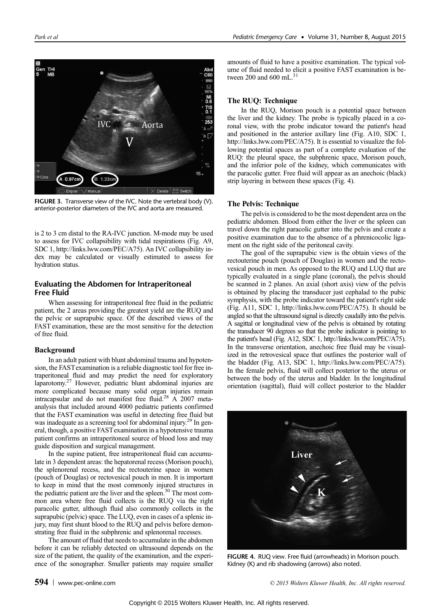

FIGURE 3. Transverse view of the IVC. Note the vertebral body (V). anterior-posterior diameters of the IVC and aorta are measured.

is 2 to 3 cm distal to the RA-IVC junction. M-mode may be used to assess for IVC collapsibility with tidal respirations (Fig. A9, SDC 1, http://links.lww.com/PEC/A75). An IVC collapsibility index may be calculated or visually estimated to assess for hydration status.

# Evaluating the Abdomen for Intraperitoneal Free Fluid

When assessing for intraperitoneal free fluid in the pediatric patient, the 2 areas providing the greatest yield are the RUQ and the pelvic or suprapubic space. Of the described views of the FAST examination, these are the most sensitive for the detection of free fluid.

#### Background

In an adult patient with blunt abdominal trauma and hypotension, the FASTexamination is a reliable diagnostic tool for free intraperitoneal fluid and may predict the need for exploratory laparotomy.27 However, pediatric blunt abdominal injuries are more complicated because many solid organ injuries remain intracapsular and do not manifest free fluid.<sup>28</sup> A 2007 metaanalysis that included around 4000 pediatric patients confirmed that the FAST examination was useful in detecting free fluid but was inadequate as a screening tool for abdominal injury.<sup>29</sup> In general, though, a positive FASTexamination in a hypotensive trauma patient confirms an intraperitoneal source of blood loss and may guide disposition and surgical management.

In the supine patient, free intraperitoneal fluid can accumulate in 3 dependent areas: the hepatorenal recess (Morison pouch), the splenorenal recess, and the rectouterine space in women (pouch of Douglas) or rectovesical pouch in men. It is important to keep in mind that the most commonly injured structures in the pediatric patient are the liver and the spleen.<sup>30</sup> The most common area where free fluid collects is the RUQ via the right paracolic gutter, although fluid also commonly collects in the suprapubic (pelvic) space. The LUQ, even in cases of a splenic injury, may first shunt blood to the RUQ and pelvis before demonstrating free fluid in the subphrenic and splenorenal recesses.

The amount of fluid that needs to accumulate in the abdomen before it can be reliably detected on ultrasound depends on the size of the patient, the quality of the examination, and the experience of the sonographer. Smaller patients may require smaller amounts of fluid to have a positive examination. The typical volume of fluid needed to elicit a positive FAST examination is between  $200$  and  $600$  mL.

# The RUQ: Technique

In the RUQ, Morison pouch is a potential space between the liver and the kidney. The probe is typically placed in a coronal view, with the probe indicator toward the patient's head and positioned in the anterior axillary line (Fig. A10, SDC 1, http://links.lww.com/PEC/A75). It is essential to visualize the following potential spaces as part of a complete evaluation of the RUQ: the pleural space, the subphrenic space, Morison pouch, and the inferior pole of the kidney, which communicates with the paracolic gutter. Free fluid will appear as an anechoic (black) strip layering in between these spaces (Fig. 4).

#### The Pelvis: Technique

The pelvis is considered to be the most dependent area on the pediatric abdomen. Blood from either the liver or the spleen can travel down the right paracolic gutter into the pelvis and create a positive examination due to the absence of a phrenicocolic ligament on the right side of the peritoneal cavity.

The goal of the suprapubic view is the obtain views of the rectouterine pouch (pouch of Douglas) in women and the rectovesical pouch in men. As opposed to the RUQ and LUQ that are typically evaluated in a single plane (coronal), the pelvis should be scanned in 2 planes. An axial (short axis) view of the pelvis is obtained by placing the transducer just cephalad to the pubic symphysis, with the probe indicator toward the patient's right side (Fig. A11, SDC 1, http://links.lww.com/PEC/A75). It should be angled so that the ultrasound signal is directly caudally into the pelvis. A sagittal or longitudinal view of the pelvis is obtained by rotating the transducer 90 degrees so that the probe indicator is pointing to the patient's head (Fig. A12, SDC 1, http://links.lww.com/PEC/A75). In the transverse orientation, anechoic free fluid may be visualized in the retrovesical space that outlines the posterior wall of the bladder (Fig. A13, SDC 1, http://links.lww.com/PEC/A75). In the female pelvis, fluid will collect posterior to the uterus or between the body of the uterus and bladder. In the longitudinal orientation (sagittal), fluid will collect posterior to the bladder



FIGURE 4. RUQ view. Free fluid (arrowheads) in Morison pouch. Kidney (K) and rib shadowing (arrows) also noted.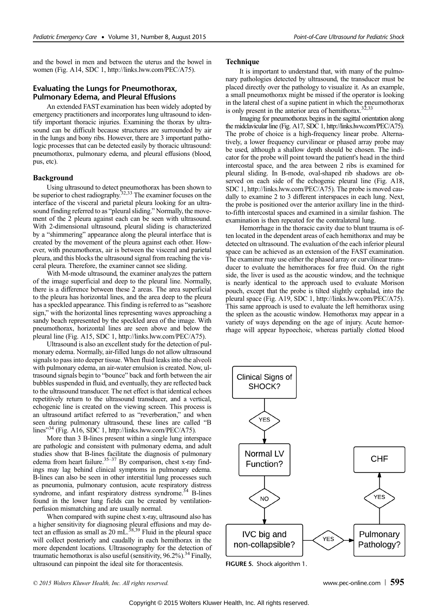and the bowel in men and between the uterus and the bowel in women (Fig. A14, SDC 1, http://links.lww.com/PEC/A75).

# Evaluating the Lungs for Pneumothorax, Pulmonary Edema, and Pleural Effusions

An extended FAST examination has been widely adopted by emergency practitioners and incorporates lung ultrasound to identify important thoracic injuries. Examining the thorax by ultrasound can be difficult because structures are surrounded by air in the lungs and bony ribs. However, there are 3 important pathologic processes that can be detected easily by thoracic ultrasound: pneumothorax, pulmonary edema, and pleural effusions (blood, pus, etc).

#### Background

Using ultrasound to detect pneumothorax has been shown to be superior to chest radiography.<sup>32,33</sup> The examiner focuses on the interface of the visceral and parietal pleura looking for an ultrasound finding referred to as "pleural sliding." Normally, the movement of the 2 pleura against each can be seen with ultrasound. With 2-dimensional ultrasound, pleural sliding is characterized by a "shimmering" appearance along the pleural interface that is created by the movement of the pleura against each other. However, with pneumothorax, air is between the visceral and parietal pleura, and this blocks the ultrasound signal from reaching the visceral pleura. Therefore, the examiner cannot see sliding.

With M-mode ultrasound, the examiner analyzes the pattern of the image superficial and deep to the pleural line. Normally, there is a difference between these 2 areas. The area superficial to the pleura has horizontal lines, and the area deep to the pleura has a speckled appearance. This finding is referred to as "seashore sign," with the horizontal lines representing waves approaching a sandy beach represented by the speckled area of the image. With pneumothorax, horizontal lines are seen above and below the pleural line (Fig. A15, SDC 1, http://links.lww.com/PEC/A75).

Ultrasound is also an excellent study for the detection of pulmonary edema. Normally, air-filled lungs do not allow ultrasound signals to pass into deeper tissue. When fluid leaks into the alveoli with pulmonary edema, an air-water emulsion is created. Now, ultrasound signals begin to "bounce" back and forth between the air bubbles suspended in fluid, and eventually, they are reflected back to the ultrasound transducer. The net effect is that identical echoes repetitively return to the ultrasound transducer, and a vertical, echogenic line is created on the viewing screen. This process is an ultrasound artifact referred to as "reverberation," and when seen during pulmonary ultrasound, these lines are called "B lines"<sup>34</sup> (Fig. A16, SDC 1, http://links.lww.com/PEC/A75).

More than 3 B-lines present within a single lung interspace are pathologic and consistent with pulmonary edema, and adult studies show that B-lines facilitate the diagnosis of pulmonary edema from heart failure.<sup>35-37</sup> By comparison, chest x-ray findings may lag behind clinical symptoms in pulmonary edema. B-lines can also be seen in other interstitial lung processes such as pneumonia, pulmonary contusion, acute respiratory distress syndrome, and infant respiratory distress syndrome.<sup>34</sup> B-lines found in the lower lung fields can be created by ventilationperfusion mismatching and are usually normal.

When compared with supine chest x-ray, ultrasound also has a higher sensitivity for diagnosing pleural effusions and may detect an effusion as small as 20 mL<sup>38,39</sup> Fluid in the pleural space will collect posteriorly and caudally in each hemithorax in the more dependent locations. Ultrasonography for the detection of traumatic hemothorax is also useful (sensitivity,  $96.2\%$ ).<sup>34</sup> Finally, ultrasound can pinpoint the ideal site for thoracentesis.

#### Technique

It is important to understand that, with many of the pulmonary pathologies detected by ultrasound, the transducer must be placed directly over the pathology to visualize it. As an example, a small pneumothorax might be missed if the operator is looking in the lateral chest of a supine patient in which the pneumothorax is only present in the anterior area of hemithorax.<sup>32,33</sup>

Imaging for pneumothorax begins in the sagittal orientation along the midclavicular line (Fig. A17, SDC 1, http://links.lww.com/PEC/A75). The probe of choice is a high-frequency linear probe. Alternatively, a lower frequency curvilinear or phased array probe may be used, although a shallow depth should be chosen. The indicator for the probe will point toward the patient's head in the third intercostal space, and the area between 2 ribs is examined for pleural sliding. In B-mode, oval-shaped rib shadows are observed on each side of the echogenic pleural line (Fig. A18, SDC 1, http://links.lww.com/PEC/A75). The probe is moved caudally to examine 2 to 3 different interspaces in each lung. Next, the probe is positioned over the anterior axillary line in the thirdto-fifth intercostal spaces and examined in a similar fashion. The examination is then repeated for the contralateral lung.

Hemorrhage in the thoracic cavity due to blunt trauma is often located in the dependent areas of each hemithorax and may be detected on ultrasound. The evaluation of the each inferior pleural space can be achieved as an extension of the FAST examination. The examiner may use either the phased array or curvilinear transducer to evaluate the hemithoraces for free fluid. On the right side, the liver is used as the acoustic window, and the technique is nearly identical to the approach used to evaluate Morison pouch, except that the probe is tilted slightly cephalad, into the pleural space (Fig. A19, SDC 1, http://links.lww.com/PEC/A75). This same approach is used to evaluate the left hemithorax using the spleen as the acoustic window. Hemothorax may appear in a variety of ways depending on the age of injury. Acute hemorrhage will appear hypoechoic, whereas partially clotted blood



© 2015 Wolters Kluwer Health, Inc. All rights reserved. [www.pec-online.com](http://www.pec-online.com) 595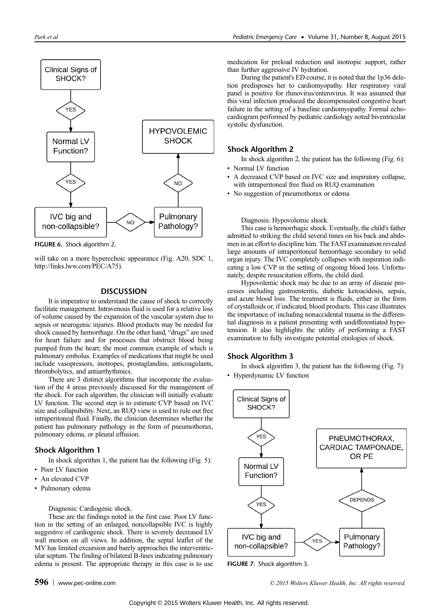

FIGURE 6. Shock algorithm 2.

will take on a more hyperechoic appearance (Fig. A20, SDC 1, http://links.lww.com/PEC/A75).

# **DISCUSSION**

It is imperative to understand the cause of shock to correctly facilitate management. Intravenous fluid is used for a relative loss of volume caused by the expansion of the vascular system due to sepsis or neurogenic injuries. Blood products may be needed for shock caused by hemorrhage. On the other hand, "drugs" are used for heart failure and for processes that obstruct blood being pumped from the heart; the most common example of which is pulmonary embolus. Examples of medications that might be used include vasopressors, inotropes, prostaglandins, anticoagulants, thrombolytics, and antiarrhythmics.

There are 3 distinct algorithms that incorporate the evaluation of the 4 areas previously discussed for the management of the shock. For each algorithm, the clinician will initially evaluate LV function. The second step is to estimate CVP based on IVC size and collapsibility. Next, an RUQ view is used to rule out free intraperitoneal fluid. Finally, the clinician determines whether the patient has pulmonary pathology in the form of pneumothorax, pulmonary edema, or pleural effusion.

# Shock Algorithm 1

In shock algorithm 1, the patient has the following (Fig. 5):

- Poor LV function
- An elevated CVP
- Pulmonary edema

#### Diagnosis: Cardiogenic shock.

These are the findings noted in the first case. Poor LV function in the setting of an enlarged, noncollapsible IVC is highly suggestive of cardiogenic shock. There is severely decreased LV wall motion on all views. In addition, the septal leaflet of the MV has limited excursion and barely approaches the interventricular septum. The finding of bilateral B-lines indicating pulmonary edema is present. The appropriate therapy in this case is to use medication for preload reduction and inotropic support, rather than further aggressive IV hydration.

During the patient's ED course, it is noted that the 1p36 deletion predisposes her to cardiomyopathy. Her respiratory viral panel is positive for rhinovirus/enterovirus. It was assumed that this viral infection produced the decompensated congestive heart failure in the setting of a baseline cardiomyopathy. Formal echocardiogram performed by pediatric cardiology noted biventricular systolic dysfunction.

# Shock Algorithm 2

In shock algorithm 2, the patient has the following (Fig. 6):

- Normal LV function
- A decreased CVP based on IVC size and inspiratory collapse, with intraperitoneal free fluid on RUQ examination
- No suggestion of pneumothorax or edema

Diagnosis: Hypovolemic shock.

This case is hemorrhagic shock. Eventually, the child's father admitted to striking the child several times on his back and abdomen in an effort to discipline him. The FAST examination revealed large amounts of intraperitoneal hemorrhage secondary to solid organ injury. The IVC completely collapses with inspiration indicating a low CVP in the setting of ongoing blood loss. Unfortunately, despite resuscitation efforts, the child died.

Hypovolemic shock may be due to an array of disease processes including gastroenteritis, diabetic ketoacidosis, sepsis, and acute blood loss. The treatment is fluids, either in the form of crystalloids or, if indicated, blood products. This case illustrates the importance of including nonaccidental trauma in the differential diagnosis in a patient presenting with undifferentiated hypotension. It also highlights the utility of performing a FAST examination to fully investigate potential etiologies of shock.

#### Shock Algorithm 3

In shock algorithm 3, the patient has the following (Fig. 7): • Hyperdynamic LV function



FIGURE 7. Shock algorithm 3.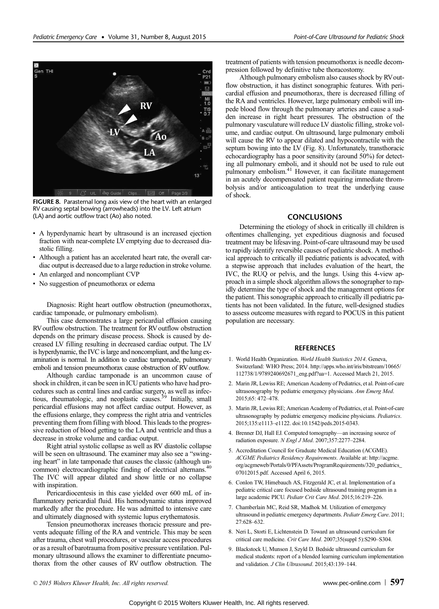

FIGURE 8. Parasternal long axis view of the heart with an enlarged RV causing septal bowing (arrowheads) into the LV. Left atrium (LA) and aortic outflow tract (Ao) also noted.

- A hyperdynamic heart by ultrasound is an increased ejection fraction with near-complete LV emptying due to decreased diastolic filling.
- Although a patient has an accelerated heart rate, the overall cardiac output is decreased due to a large reduction in stroke volume.
- An enlarged and noncompliant CVP
- No suggestion of pneumothorax or edema

Diagnosis: Right heart outflow obstruction (pneumothorax, cardiac tamponade, or pulmonary embolism).

This case demonstrates a large pericardial effusion causing RV outflow obstruction. The treatment for RV outflow obstruction depends on the primary disease process. Shock is caused by decreased LV filling resulting in decreased cardiac output. The LV is hyperdynamic, the IVC is large and noncompliant, and the lung examination is normal. In addition to cardiac tamponade, pulmonary emboli and tension pneumothorax cause obstruction of RV outflow.

Although cardiac tamponade is an uncommon cause of shock in children, it can be seen in ICU patients who have had procedures such as central lines and cardiac surgery, as well as infectious, rheumatologic, and neoplastic causes.<sup>39</sup> Initially, small pericardial effusions may not affect cardiac output. However, as the effusions enlarge, they compress the right atria and ventricles preventing them from filling with blood. This leads to the progressive reduction of blood getting to the LA and ventricle and thus a decrease in stroke volume and cardiac output.

Right atrial systolic collapse as well as RV diastolic collapse will be seen on ultrasound. The examiner may also see a "swinging heart" in late tamponade that causes the classic (although uncommon) electrocardiographic finding of electrical alternans.40 The IVC will appear dilated and show little or no collapse with inspiration.

Pericardiocentesis in this case yielded over 600 mL of inflammatory pericardial fluid. His hemodynamic status improved markedly after the procedure. He was admitted to intensive care and ultimately diagnosed with systemic lupus erythematosis.

Tension pneumothorax increases thoracic pressure and prevents adequate filling of the RA and ventricle. This may be seen after trauma, chest wall procedures, or vascular access procedures or as a result of barotrauma from positive pressure ventilation. Pulmonary ultrasound allows the examiner to differentiate pneumothorax from the other causes of RV outflow obstruction. The treatment of patients with tension pneumothorax is needle decompression followed by definitive tube thoracostomy.

Although pulmonary embolism also causes shock by RVoutflow obstruction, it has distinct sonographic features. With pericardial effusion and pneumothorax, there is decreased filling of the RA and ventricles. However, large pulmonary emboli will impede blood flow through the pulmonary arteries and cause a sudden increase in right heart pressures. The obstruction of the pulmonary vasculature will reduce LV diastolic filling, stroke volume, and cardiac output. On ultrasound, large pulmonary emboli will cause the RV to appear dilated and hypocontractile with the septum bowing into the LV (Fig. 8). Unfortunately, transthoracic echocardiography has a poor sensitivity (around 50%) for detecting all pulmonary emboli, and it should not be used to rule out pulmonary embolism.<sup>41</sup> However, it can facilitate management in an acutely decompensated patient requiring immediate thrombolysis and/or anticoagulation to treat the underlying cause of shock.

# **CONCLUSIONS**

Determining the etiology of shock in critically ill children is oftentimes challenging, yet expeditious diagnosis and focused treatment may be lifesaving. Point-of-care ultrasound may be used to rapidly identify reversible causes of pediatric shock. A methodical approach to critically ill pediatric patients is advocated, with a stepwise approach that includes evaluation of the heart, the IVC, the RUQ or pelvis, and the lungs. Using this 4-view approach in a simple shock algorithm allows the sonographer to rapidly determine the type of shock and the management options for the patient. This sonographic approach to critically ill pediatric patients has not been validated. In the future, well-designed studies to assess outcome measures with regard to POCUS in this patient population are necessary.

# **REFERENCES**

- 1. World Health Organization. World Health Statistics 2014. Geneva, Switzerland: WHO Press; 2014. http://apps.who.int/iris/bitstream/10665/ 112738/1/9789240692671\_eng.pdf?ua=1. Accessed March 21, 2015.
- 2. Marin JR, Lewiss RE; American Academy of Pediatrics, et al. Point-of-care ultrasonography by pediatric emergency physicians. Ann Emerg Med. 2015;65: 472–478.
- 3. Marin JR, Lewiss RE; American Academy of Pediatrics, et al. Point-of-care ultrasonography by pediatric emergency medicine physicians. Pediatrics. 2015;135:e1113–e1122. doi:10.1542/peds.2015-0343.
- 4. Brenner DJ, Hall EJ. Computed tomography—an increasing source of radiation exposure. N Engl J Med. 2007;357:2277–2284.
- 5. Accreditation Council for Graduate Medical Education (ACGME). ACGME Pediatrics Residency Requirements. Available at: http://acgme. org/acgmeweb/Portals/0/PFAssets/ProgramRequirements/320\_pediatrics\_ 07012015.pdf. Accessed April 6, 2015.
- 6. Conlon TW, Himebauch AS, Fitzgerald JC, et al. Implementation of a pediatric critical care focused bedside ultrasound training program in a large academic PICU. Pediatr Crit Care Med. 2015;16:219–226.
- 7. Chamberlain MC, Reid SR, Madhok M. Utilization of emergency ultrasound in pediatric emergency departments. Pediatr Emerg Care. 2011; 27:628–632.
- 8. Neri L, Storti E, Lichtenstein D. Toward an ultrasound curriculum for critical care medicine. Crit Care Med. 2007;35(suppl 5):S290–S304.
- 9. Blackstock U, Munson J, Szyld D. Bedside ultrasound curriculum for medical students: report of a blended learning curriculum implementation and validation. J Clin Ultrasound. 2015;43:139–144.